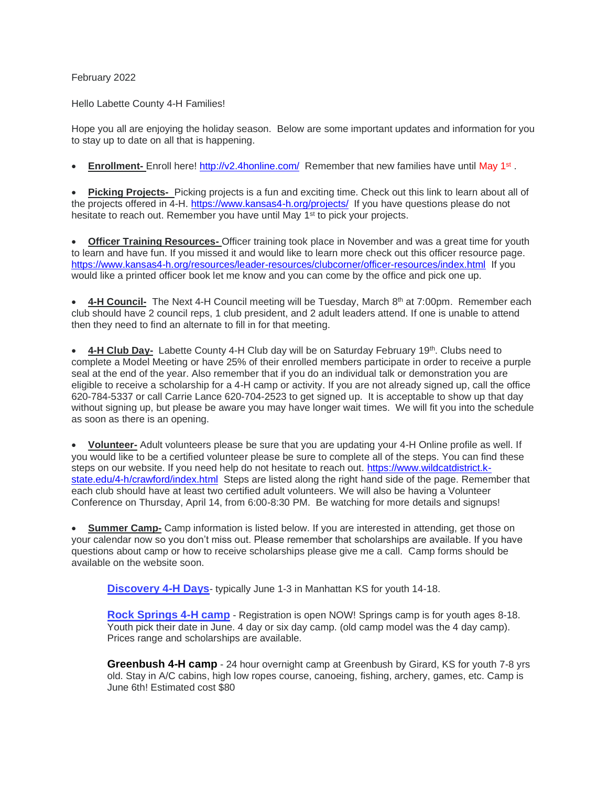## February 2022

Hello Labette County 4-H Families!

Hope you all are enjoying the holiday season. Below are some important updates and information for you to stay up to date on all that is happening.

• **Enrollment-** Enroll here!<http://v2.4honline.com/> Remember that new families have until May 1<sup>st</sup>.

• **Picking Projects-** Picking projects is a fun and exciting time. Check out this link to learn about all of the projects offered in 4-H.<https://www.kansas4-h.org/projects/> If you have questions please do not hesitate to reach out. Remember you have until May 1<sup>st</sup> to pick your projects.

• **Officer Training Resources-** Officer training took place in November and was a great time for youth to learn and have fun. If you missed it and would like to learn more check out this officer resource page. <https://www.kansas4-h.org/resources/leader-resources/clubcorner/officer-resources/index.html> If you would like a printed officer book let me know and you can come by the office and pick one up.

• **4-H Council** The Next 4-H Council meeting will be Tuesday, March 8<sup>th</sup> at 7:00pm. Remember each club should have 2 council reps, 1 club president, and 2 adult leaders attend. If one is unable to attend then they need to find an alternate to fill in for that meeting.

• 4-H Club Day- Labette County 4-H Club day will be on Saturday February 19<sup>th</sup>. Clubs need to complete a Model Meeting or have 25% of their enrolled members participate in order to receive a purple seal at the end of the year. Also remember that if you do an individual talk or demonstration you are eligible to receive a scholarship for a 4-H camp or activity. If you are not already signed up, call the office 620-784-5337 or call Carrie Lance 620-704-2523 to get signed up. It is acceptable to show up that day without signing up, but please be aware you may have longer wait times. We will fit you into the schedule as soon as there is an opening.

• **Volunteer-** Adult volunteers please be sure that you are updating your 4-H Online profile as well. If you would like to be a certified volunteer please be sure to complete all of the steps. You can find these steps on our website. If you need help do not hesitate to reach out. [https://www.wildcatdistrict.k](https://www.wildcatdistrict.k-state.edu/4-h/crawford/index.html)[state.edu/4-h/crawford/index.html](https://www.wildcatdistrict.k-state.edu/4-h/crawford/index.html) Steps are listed along the right hand side of the page. Remember that each club should have at least two certified adult volunteers. We will also be having a Volunteer Conference on Thursday, April 14, from 6:00-8:30 PM. Be watching for more details and signups!

**Summer Camp-** Camp information is listed below. If you are interested in attending, get those on your calendar now so you don't miss out. Please remember that scholarships are available. If you have questions about camp or how to receive scholarships please give me a call. Camp forms should be available on the website soon.

**[Discovery 4-H Days](https://www.kansas4-h.org/events-activities/conferences-events/discovery-days/)**- typically June 1-3 in Manhattan KS for youth 14-18.

**[Rock Springs 4-H camp](https://www.rockspringsranch4hcamp.org/)** - Registration is open NOW! Springs camp is for youth ages 8-18. Youth pick their date in June. 4 day or six day camp. (old camp model was the 4 day camp). Prices range and scholarships are available.

**Greenbush 4-H camp** - 24 hour overnight camp at Greenbush by Girard, KS for youth 7-8 yrs old. Stay in A/C cabins, high low ropes course, canoeing, fishing, archery, games, etc. Camp is June 6th! Estimated cost \$80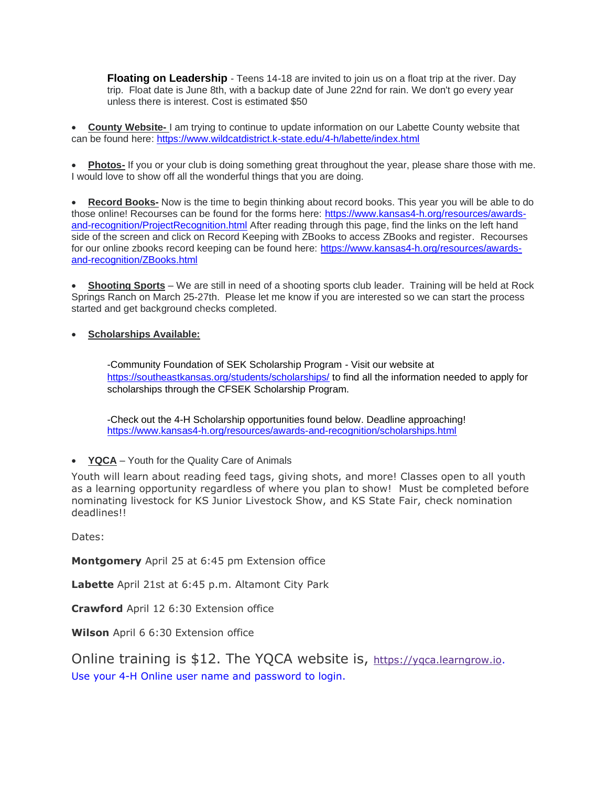**Floating on Leadership** - Teens 14-18 are invited to join us on a float trip at the river. Day trip. Float date is June 8th, with a backup date of June 22nd for rain. We don't go every year unless there is interest. Cost is estimated \$50

• **County Website-** I am trying to continue to update information on our Labette County website that can be found here:<https://www.wildcatdistrict.k-state.edu/4-h/labette/index.html>

• **Photos-** If you or your club is doing something great throughout the year, please share those with me. I would love to show off all the wonderful things that you are doing.

• **Record Books-** Now is the time to begin thinking about record books. This year you will be able to do those online! Recourses can be found for the forms here: [https://www.kansas4-h.org/resources/awards](https://www.kansas4-h.org/resources/awards-and-recognition/ProjectRecognition.html)[and-recognition/ProjectRecognition.html](https://www.kansas4-h.org/resources/awards-and-recognition/ProjectRecognition.html) After reading through this page, find the links on the left hand side of the screen and click on Record Keeping with ZBooks to access ZBooks and register. Recourses for our online zbooks record keeping can be found here: [https://www.kansas4-h.org/resources/awards](https://www.kansas4-h.org/resources/awards-and-recognition/ZBooks.html)[and-recognition/ZBooks.html](https://www.kansas4-h.org/resources/awards-and-recognition/ZBooks.html)

• **Shooting Sports** – We are still in need of a shooting sports club leader. Training will be held at Rock Springs Ranch on March 25-27th. Please let me know if you are interested so we can start the process started and get background checks completed.

## • **Scholarships Available:**

-Community Foundation of SEK Scholarship Program - Visit our website at <https://southeastkansas.org/students/scholarships/> to find all the information needed to apply for scholarships through the CFSEK Scholarship Program.

-Check out the 4-H Scholarship opportunities found below. Deadline approaching! <https://www.kansas4-h.org/resources/awards-and-recognition/scholarships.html>

• **YQCA** – Youth for the Quality Care of Animals

Youth will learn about reading feed tags, giving shots, and more! Classes open to all youth as a learning opportunity regardless of where you plan to show! Must be completed before nominating livestock for KS Junior Livestock Show, and KS State Fair, check nomination deadlines!!

Dates:

**Montgomery** April 25 at 6:45 pm Extension office

**Labette** April 21st at 6:45 p.m. Altamont City Park

**Crawford** April 12 6:30 Extension office

**Wilson** April 6 6:30 Extension office

Online training is \$12. The YQCA website is, [https://yqca.learngrow.io.](https://yqca.learngrow.io/) Use your 4-H Online user name and password to login.